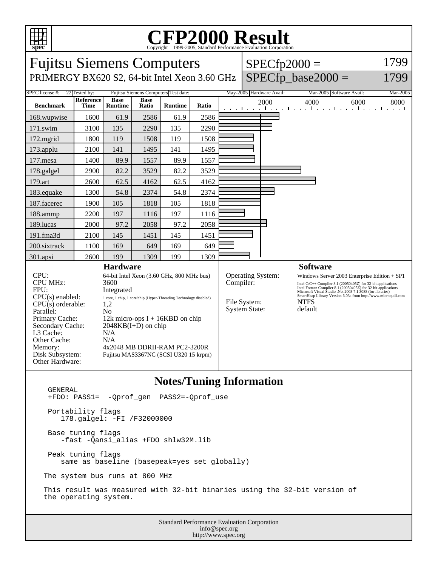

## C<sub>opyright</sub> ©1999-2005, Standard Performance Evaluation Corporation

| <b>Fujitsu Siemens Computers</b>                                                                                                                                                                           |                   |                                                                                                                                                                                                                                                                                                         |                      |                |       |  |                                                   |                          | $SPECfp2000 =$                                                                                                                                                                                                                                                                                                                               | 1799     |
|------------------------------------------------------------------------------------------------------------------------------------------------------------------------------------------------------------|-------------------|---------------------------------------------------------------------------------------------------------------------------------------------------------------------------------------------------------------------------------------------------------------------------------------------------------|----------------------|----------------|-------|--|---------------------------------------------------|--------------------------|----------------------------------------------------------------------------------------------------------------------------------------------------------------------------------------------------------------------------------------------------------------------------------------------------------------------------------------------|----------|
| PRIMERGY BX620 S2, 64-bit Intel Xeon 3.60 GHz                                                                                                                                                              |                   |                                                                                                                                                                                                                                                                                                         |                      |                |       |  |                                                   |                          | $SPECfp\_base2000 =$                                                                                                                                                                                                                                                                                                                         | 1799     |
| SPEC license #:<br>Fujitsu Siemens Computers Test date:<br>22 Tested by:                                                                                                                                   |                   |                                                                                                                                                                                                                                                                                                         |                      |                |       |  |                                                   | May-2005 Hardware Avail: | Mar-2005 Software Avail:                                                                                                                                                                                                                                                                                                                     | Mar-2005 |
| <b>Benchmark</b>                                                                                                                                                                                           | Reference<br>Time | <b>Base</b><br><b>Runtime</b>                                                                                                                                                                                                                                                                           | <b>Base</b><br>Ratio | <b>Runtime</b> | Ratio |  |                                                   | 2000                     | 4000<br>6000<br>and the real construction of a new financial construction                                                                                                                                                                                                                                                                    | 8000     |
| 168.wupwise                                                                                                                                                                                                | 1600              | 61.9                                                                                                                                                                                                                                                                                                    | 2586                 | 61.9           | 2586  |  |                                                   |                          |                                                                                                                                                                                                                                                                                                                                              |          |
| 171.swim                                                                                                                                                                                                   | 3100              | 135                                                                                                                                                                                                                                                                                                     | 2290                 | 135            | 2290  |  |                                                   |                          |                                                                                                                                                                                                                                                                                                                                              |          |
| $172$ .mgrid                                                                                                                                                                                               | 1800              | 119                                                                                                                                                                                                                                                                                                     | 1508                 | 119            | 1508  |  |                                                   |                          |                                                                                                                                                                                                                                                                                                                                              |          |
| 173.applu                                                                                                                                                                                                  | 2100              | 141                                                                                                                                                                                                                                                                                                     | 1495                 | 141            | 1495  |  |                                                   |                          |                                                                                                                                                                                                                                                                                                                                              |          |
| $177$ .mesa                                                                                                                                                                                                | 1400              | 89.9                                                                                                                                                                                                                                                                                                    | 1557                 | 89.9           | 1557  |  |                                                   |                          |                                                                                                                                                                                                                                                                                                                                              |          |
| 178.galgel                                                                                                                                                                                                 | 2900              | 82.2                                                                                                                                                                                                                                                                                                    | 3529                 | 82.2           | 3529  |  |                                                   |                          |                                                                                                                                                                                                                                                                                                                                              |          |
| 179.art                                                                                                                                                                                                    | 2600              | 62.5                                                                                                                                                                                                                                                                                                    | 4162                 | 62.5           | 4162  |  |                                                   |                          |                                                                                                                                                                                                                                                                                                                                              |          |
| 183.equake                                                                                                                                                                                                 | 1300              | 54.8                                                                                                                                                                                                                                                                                                    | 2374                 | 54.8           | 2374  |  |                                                   |                          |                                                                                                                                                                                                                                                                                                                                              |          |
| 187.facerec                                                                                                                                                                                                | 1900              | 105                                                                                                                                                                                                                                                                                                     | 1818                 | 105            | 1818  |  |                                                   |                          |                                                                                                                                                                                                                                                                                                                                              |          |
| 188.ammp                                                                                                                                                                                                   | 2200              | 197                                                                                                                                                                                                                                                                                                     | 1116                 | 197            | 1116  |  |                                                   |                          |                                                                                                                                                                                                                                                                                                                                              |          |
| 189.lucas                                                                                                                                                                                                  | 2000              | 97.2                                                                                                                                                                                                                                                                                                    | 2058                 | 97.2           | 2058  |  |                                                   |                          |                                                                                                                                                                                                                                                                                                                                              |          |
| 191.fma3d                                                                                                                                                                                                  | 2100              | 145                                                                                                                                                                                                                                                                                                     | 1451                 | 145            | 1451  |  |                                                   |                          |                                                                                                                                                                                                                                                                                                                                              |          |
| 200.sixtrack                                                                                                                                                                                               | 1100              | 169                                                                                                                                                                                                                                                                                                     | 649                  | 169            | 649   |  |                                                   |                          |                                                                                                                                                                                                                                                                                                                                              |          |
| 301.apsi                                                                                                                                                                                                   | 2600              | 199                                                                                                                                                                                                                                                                                                     | 1309                 | 199            | 1309  |  |                                                   |                          |                                                                                                                                                                                                                                                                                                                                              |          |
| <b>Hardware</b>                                                                                                                                                                                            |                   |                                                                                                                                                                                                                                                                                                         |                      |                |       |  |                                                   |                          | <b>Software</b>                                                                                                                                                                                                                                                                                                                              |          |
| CPU:<br><b>CPU MHz:</b><br>FPU:<br>$CPU(s)$ enabled:<br>CPU(s) orderable:<br>Parallel:<br>Primary Cache:<br>Secondary Cache:<br>L3 Cache:<br>Other Cache:<br>Memory:<br>Disk Subsystem:<br>Other Hardware: |                   | 64-bit Intel Xeon (3.60 GHz, 800 MHz bus)<br>3600<br>Integrated<br>1 core, 1 chip, 1 core/chip (Hyper-Threading Technology disabled)<br>1,2<br>No<br>12k micro-ops $I + 16KBD$ on chip<br>$2048KB(I+D)$ on chip<br>N/A<br>N/A<br>4x2048 MB DDRII-RAM PC2-3200R<br>Fujitsu MAS3367NC (SCSI U320 15 krpm) |                      |                |       |  | Compiler:<br>File System:<br><b>System State:</b> | Operating System:        | Windows Server 2003 Enterprise Edition $+$ SP1<br>Intel $C/C++$ Compiler 8.1 (20050405Z) for 32-bit applications<br>Intel Fortran Compiler 8.1 (20050405Z) for 32-bit applications<br>Microsoft Visual Studio .Net 2003 7.1.3088 (for libraries)<br>SmartHeap Library Version 6.03a from http://www.microquill.com<br><b>NTFS</b><br>default |          |

## **Notes/Tuning Information**

Standard Performance Evaluation Corporation info@spec.org GENERAL +FDO: PASS1= -Qprof\_gen PASS2=-Qprof\_use Portability flags 178.galgel: -FI /F32000000 Base tuning flags -fast -Qansi\_alias +FDO shlw32M.lib Peak tuning flags same as baseline (basepeak=yes set globally) The system bus runs at 800 MHz This result was measured with 32-bit binaries using the 32-bit version of the operating system.

http://www.spec.org